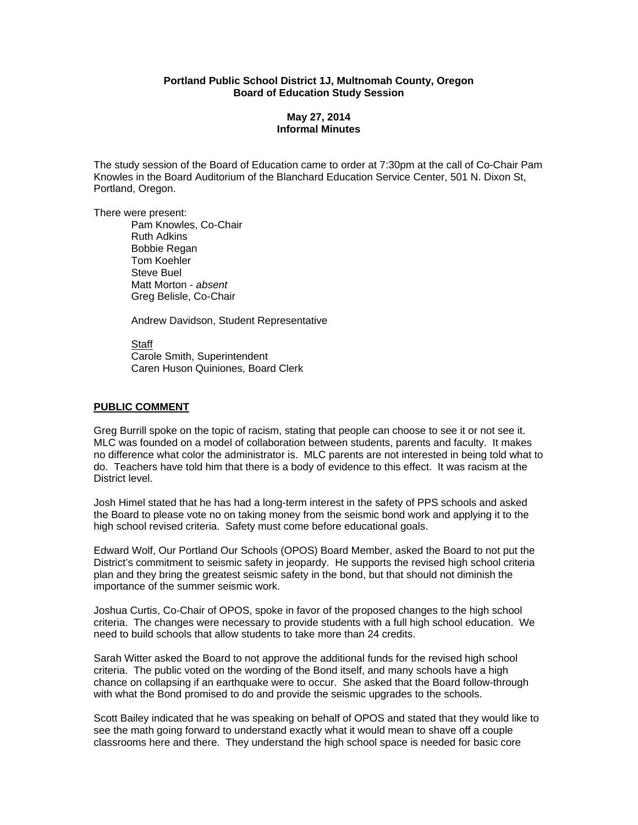### **Portland Public School District 1J, Multnomah County, Oregon Board of Education Study Session**

# **May 27, 2014 Informal Minutes**

The study session of the Board of Education came to order at 7:30pm at the call of Co-Chair Pam Knowles in the Board Auditorium of the Blanchard Education Service Center, 501 N. Dixon St, Portland, Oregon.

There were present:

Pam Knowles, Co-Chair Ruth Adkins Bobbie Regan Tom Koehler Steve Buel Matt Morton - *absent*  Greg Belisle, Co-Chair

Andrew Davidson, Student Representative

 Staff Carole Smith, Superintendent Caren Huson Quiniones, Board Clerk

#### **PUBLIC COMMENT**

Greg Burrill spoke on the topic of racism, stating that people can choose to see it or not see it. MLC was founded on a model of collaboration between students, parents and faculty. It makes no difference what color the administrator is. MLC parents are not interested in being told what to do. Teachers have told him that there is a body of evidence to this effect. It was racism at the District level.

Josh Himel stated that he has had a long-term interest in the safety of PPS schools and asked the Board to please vote no on taking money from the seismic bond work and applying it to the high school revised criteria. Safety must come before educational goals.

Edward Wolf, Our Portland Our Schools (OPOS) Board Member, asked the Board to not put the District's commitment to seismic safety in jeopardy. He supports the revised high school criteria plan and they bring the greatest seismic safety in the bond, but that should not diminish the importance of the summer seismic work.

Joshua Curtis, Co-Chair of OPOS, spoke in favor of the proposed changes to the high school criteria. The changes were necessary to provide students with a full high school education. We need to build schools that allow students to take more than 24 credits.

Sarah Witter asked the Board to not approve the additional funds for the revised high school criteria. The public voted on the wording of the Bond itself, and many schools have a high chance on collapsing if an earthquake were to occur. She asked that the Board follow-through with what the Bond promised to do and provide the seismic upgrades to the schools.

Scott Bailey indicated that he was speaking on behalf of OPOS and stated that they would like to see the math going forward to understand exactly what it would mean to shave off a couple classrooms here and there. They understand the high school space is needed for basic core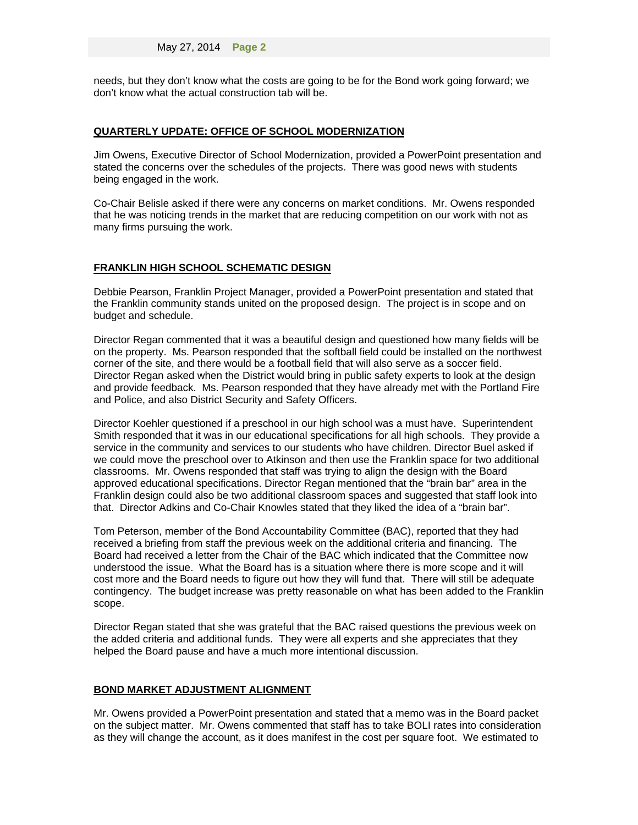needs, but they don't know what the costs are going to be for the Bond work going forward; we don't know what the actual construction tab will be.

## **QUARTERLY UPDATE: OFFICE OF SCHOOL MODERNIZATION**

Jim Owens, Executive Director of School Modernization, provided a PowerPoint presentation and stated the concerns over the schedules of the projects. There was good news with students being engaged in the work.

Co-Chair Belisle asked if there were any concerns on market conditions. Mr. Owens responded that he was noticing trends in the market that are reducing competition on our work with not as many firms pursuing the work.

#### **FRANKLIN HIGH SCHOOL SCHEMATIC DESIGN**

Debbie Pearson, Franklin Project Manager, provided a PowerPoint presentation and stated that the Franklin community stands united on the proposed design. The project is in scope and on budget and schedule.

Director Regan commented that it was a beautiful design and questioned how many fields will be on the property. Ms. Pearson responded that the softball field could be installed on the northwest corner of the site, and there would be a football field that will also serve as a soccer field. Director Regan asked when the District would bring in public safety experts to look at the design and provide feedback. Ms. Pearson responded that they have already met with the Portland Fire and Police, and also District Security and Safety Officers.

Director Koehler questioned if a preschool in our high school was a must have. Superintendent Smith responded that it was in our educational specifications for all high schools. They provide a service in the community and services to our students who have children. Director Buel asked if we could move the preschool over to Atkinson and then use the Franklin space for two additional classrooms. Mr. Owens responded that staff was trying to align the design with the Board approved educational specifications. Director Regan mentioned that the "brain bar" area in the Franklin design could also be two additional classroom spaces and suggested that staff look into that. Director Adkins and Co-Chair Knowles stated that they liked the idea of a "brain bar".

Tom Peterson, member of the Bond Accountability Committee (BAC), reported that they had received a briefing from staff the previous week on the additional criteria and financing. The Board had received a letter from the Chair of the BAC which indicated that the Committee now understood the issue. What the Board has is a situation where there is more scope and it will cost more and the Board needs to figure out how they will fund that. There will still be adequate contingency. The budget increase was pretty reasonable on what has been added to the Franklin scope.

Director Regan stated that she was grateful that the BAC raised questions the previous week on the added criteria and additional funds. They were all experts and she appreciates that they helped the Board pause and have a much more intentional discussion.

### **BOND MARKET ADJUSTMENT ALIGNMENT**

Mr. Owens provided a PowerPoint presentation and stated that a memo was in the Board packet on the subject matter. Mr. Owens commented that staff has to take BOLI rates into consideration as they will change the account, as it does manifest in the cost per square foot. We estimated to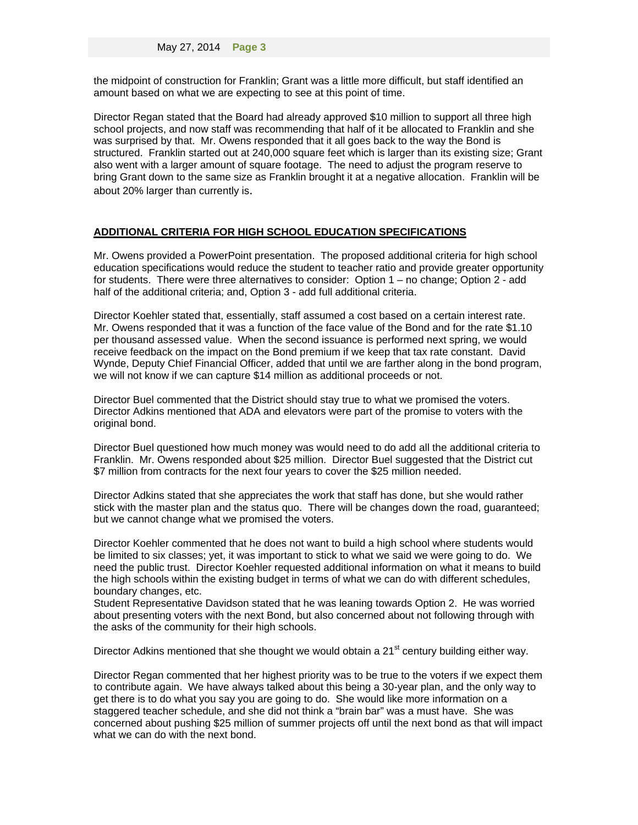the midpoint of construction for Franklin; Grant was a little more difficult, but staff identified an amount based on what we are expecting to see at this point of time.

Director Regan stated that the Board had already approved \$10 million to support all three high school projects, and now staff was recommending that half of it be allocated to Franklin and she was surprised by that. Mr. Owens responded that it all goes back to the way the Bond is structured. Franklin started out at 240,000 square feet which is larger than its existing size; Grant also went with a larger amount of square footage. The need to adjust the program reserve to bring Grant down to the same size as Franklin brought it at a negative allocation. Franklin will be about 20% larger than currently is.

## **ADDITIONAL CRITERIA FOR HIGH SCHOOL EDUCATION SPECIFICATIONS**

Mr. Owens provided a PowerPoint presentation. The proposed additional criteria for high school education specifications would reduce the student to teacher ratio and provide greater opportunity for students. There were three alternatives to consider: Option 1 – no change; Option 2 - add half of the additional criteria; and, Option 3 - add full additional criteria.

Director Koehler stated that, essentially, staff assumed a cost based on a certain interest rate. Mr. Owens responded that it was a function of the face value of the Bond and for the rate \$1.10 per thousand assessed value. When the second issuance is performed next spring, we would receive feedback on the impact on the Bond premium if we keep that tax rate constant. David Wynde, Deputy Chief Financial Officer, added that until we are farther along in the bond program, we will not know if we can capture \$14 million as additional proceeds or not.

Director Buel commented that the District should stay true to what we promised the voters. Director Adkins mentioned that ADA and elevators were part of the promise to voters with the original bond.

Director Buel questioned how much money was would need to do add all the additional criteria to Franklin. Mr. Owens responded about \$25 million. Director Buel suggested that the District cut \$7 million from contracts for the next four years to cover the \$25 million needed.

Director Adkins stated that she appreciates the work that staff has done, but she would rather stick with the master plan and the status quo. There will be changes down the road, guaranteed; but we cannot change what we promised the voters.

Director Koehler commented that he does not want to build a high school where students would be limited to six classes; yet, it was important to stick to what we said we were going to do. We need the public trust. Director Koehler requested additional information on what it means to build the high schools within the existing budget in terms of what we can do with different schedules, boundary changes, etc.

Student Representative Davidson stated that he was leaning towards Option 2. He was worried about presenting voters with the next Bond, but also concerned about not following through with the asks of the community for their high schools.

Director Adkins mentioned that she thought we would obtain a 21<sup>st</sup> century building either way.

Director Regan commented that her highest priority was to be true to the voters if we expect them to contribute again. We have always talked about this being a 30-year plan, and the only way to get there is to do what you say you are going to do. She would like more information on a staggered teacher schedule, and she did not think a "brain bar" was a must have. She was concerned about pushing \$25 million of summer projects off until the next bond as that will impact what we can do with the next bond.